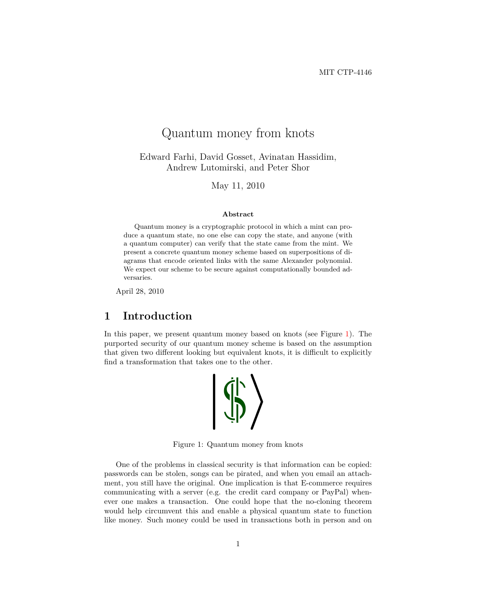# Quantum money from knots

Edward Farhi, David Gosset, Avinatan Hassidim, Andrew Lutomirski, and Peter Shor

May 11, 2010

#### **Abstract**

Quantum money is a cryptographic protocol in which a mint can produce a quantum state, no one else can copy the state, and anyone (with a quantum computer) can verify that the state came from the mint. We present a concrete quantum money scheme based on superpositions of diagrams that encode oriented links with the same Alexander polynomial. We expect our scheme to be secure against computationally bounded adversaries.

April 28, 2010

## **1 Introduction**

In this paper, we present quantum money based on knots (see Figure [1\)](#page-0-0). The purported security of our quantum money scheme is based on the assumption that given two different looking but equivalent knots, it is difficult to explicitly find a transformation that takes one to the other.



<span id="page-0-0"></span>Figure 1: Quantum money from knots

One of the problems in classical security is that information can be copied: passwords can be stolen, songs can be pirated, and when you email an attachment, you still have the original. One implication is that E-commerce requires communicating with a server (e.g. the credit card company or PayPal) whenever one makes a transaction. One could hope that the no-cloning theorem would help circumvent this and enable a physical quantum state to function like money. Such money could be used in transactions both in person and on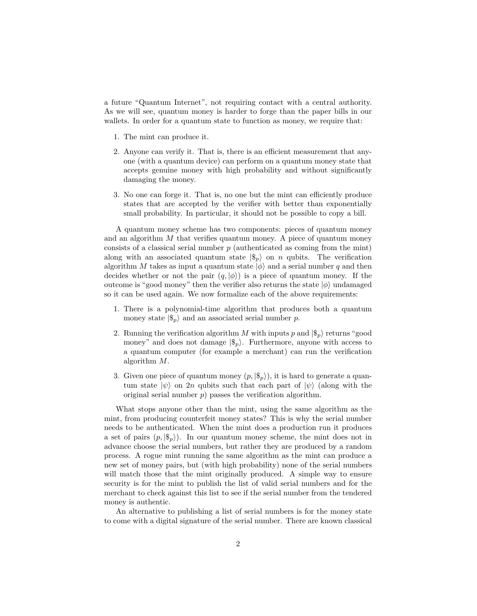a future "Quantum Internet", not requiring contact with a central authority. As we will see, quantum money is harder to forge than the paper bills in our wallets. In order for a quantum state to function as money, we require that:

- 1. The mint can produce it.
- 2. Anyone can verify it. That is, there is an efficient measurement that anyone (with a quantum device) can perform on a quantum money state that accepts genuine money with high probability and without significantly damaging the money.
- 3. No one can forge it. That is, no one but the mint can efficiently produce states that are accepted by the verifier with better than exponentially small probability. In particular, it should not be possible to copy a bill.

A quantum money scheme has two components: pieces of quantum money and an algorithm *M* that verifies quantum money. A piece of quantum money consists of a classical serial number *p* (authenticated as coming from the mint) along with an associated quantum state  $|\$_{p}\rangle$  on *n* qubits. The verification algorithm *M* takes as input a quantum state  $|\phi\rangle$  and a serial number *q* and then decides whether or not the pair  $(q, \phi)$  is a piece of quantum money. If the outcome is "good money" then the verifier also returns the state  $|\phi\rangle$  undamaged so it can be used again. We now formalize each of the above requirements:

- 1. There is a polynomial-time algorithm that produces both a quantum money state  $|\$_{p}\rangle$  and an associated serial number *p*.
- 2. Running the verification algorithm *M* with inputs *p* and  $|\$_{p}\rangle$  returns "good money" and does not damage  $|\$_{n}\rangle$ . Furthermore, anyone with access to a quantum computer (for example a merchant) can run the verification algorithm *M*.
- 3. Given one piece of quantum money  $(p, |\$_{p}\rangle)$ , it is hard to generate a quantum state  $|\psi\rangle$  on 2*n* qubits such that each part of  $|\psi\rangle$  (along with the original serial number *p*) passes the verification algorithm.

What stops anyone other than the mint, using the same algorithm as the mint, from producing counterfeit money states? This is why the serial number needs to be authenticated. When the mint does a production run it produces a set of pairs  $(p, |\$_{p}\rangle)$ . In our quantum money scheme, the mint does not in advance choose the serial numbers, but rather they are produced by a random process. A rogue mint running the same algorithm as the mint can produce a new set of money pairs, but (with high probability) none of the serial numbers will match those that the mint originally produced. A simple way to ensure security is for the mint to publish the list of valid serial numbers and for the merchant to check against this list to see if the serial number from the tendered money is authentic.

An alternative to publishing a list of serial numbers is for the money state to come with a digital signature of the serial number. There are known classical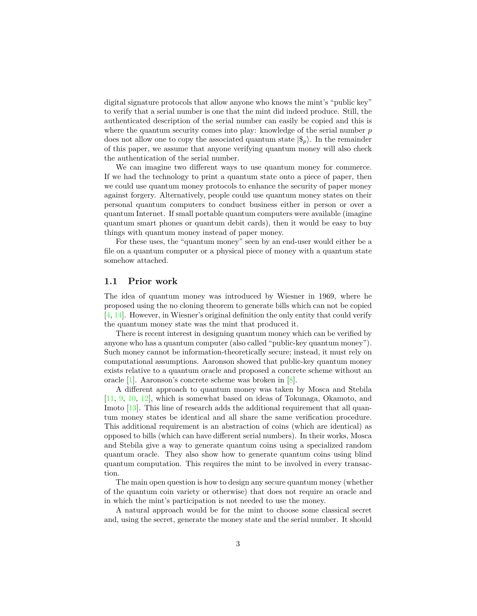digital signature protocols that allow anyone who knows the mint's "public key" to verify that a serial number is one that the mint did indeed produce. Still, the authenticated description of the serial number can easily be copied and this is where the quantum security comes into play: knowledge of the serial number *p* does not allow one to copy the associated quantum state  $|\$_{n}\rangle$ . In the remainder of this paper, we assume that anyone verifying quantum money will also check the authentication of the serial number.

We can imagine two different ways to use quantum money for commerce. If we had the technology to print a quantum state onto a piece of paper, then we could use quantum money protocols to enhance the security of paper money against forgery. Alternatively, people could use quantum money states on their personal quantum computers to conduct business either in person or over a quantum Internet. If small portable quantum computers were available (imagine quantum smart phones or quantum debit cards), then it would be easy to buy things with quantum money instead of paper money.

For these uses, the "quantum money" seen by an end-user would either be a file on a quantum computer or a physical piece of money with a quantum state somehow attached.

#### **1.1 Prior work**

The idea of quantum money was introduced by Wiesner in 1969, where he proposed using the no cloning theorem to generate bills which can not be copied [\[4,](#page-19-0) [14\]](#page-20-0). However, in Wiesner's original definition the only entity that could verify the quantum money state was the mint that produced it.

There is recent interest in designing quantum money which can be verified by anyone who has a quantum computer (also called "public-key quantum money"). Such money cannot be information-theoretically secure; instead, it must rely on computational assumptions. Aaronson showed that public-key quantum money exists relative to a quantum oracle and proposed a concrete scheme without an oracle [\[1\]](#page-19-1). Aaronson's concrete scheme was broken in [\[8\]](#page-19-2).

A different approach to quantum money was taken by Mosca and Stebila [\[11,](#page-19-3) [9,](#page-19-4) [10,](#page-19-5) [12\]](#page-20-1), which is somewhat based on ideas of Tokunaga, Okamoto, and Imoto [\[13\]](#page-20-2). This line of research adds the additional requirement that all quantum money states be identical and all share the same verification procedure. This additional requirement is an abstraction of coins (which are identical) as opposed to bills (which can have different serial numbers). In their works, Mosca and Stebila give a way to generate quantum coins using a specialized random quantum oracle. They also show how to generate quantum coins using blind quantum computation. This requires the mint to be involved in every transaction.

The main open question is how to design any secure quantum money (whether of the quantum coin variety or otherwise) that does not require an oracle and in which the mint's participation is not needed to use the money.

A natural approach would be for the mint to choose some classical secret and, using the secret, generate the money state and the serial number. It should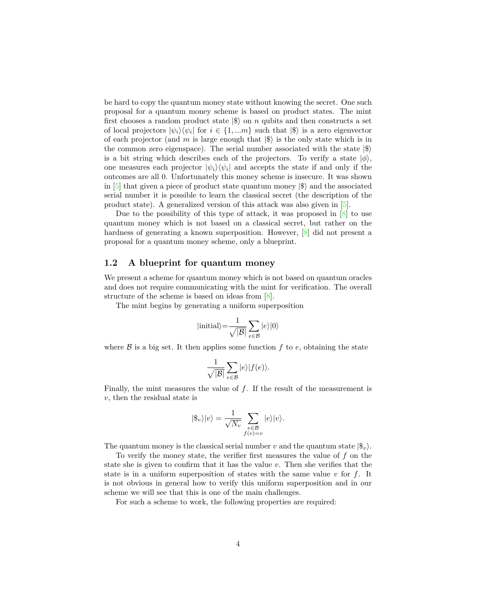be hard to copy the quantum money state without knowing the secret. One such proposal for a quantum money scheme is based on product states. The mint first chooses a random product state  $|\$\rangle$  on *n* qubits and then constructs a set of local projectors  $|\psi_i\rangle\langle\psi_i|$  for  $i \in \{1, \dots m\}$  such that  $|\$\rangle$  is a zero eigenvector of each projector (and  $m$  is large enough that  $|\$\rangle$  is the only state which is in the common zero eigenspace). The serial number associated with the state  $|\$\rangle$ is a bit string which describes each of the projectors. To verify a state  $|\phi\rangle$ , one measures each projector  $|\psi_i\rangle\langle\psi_i|$  and accepts the state if and only if the outcomes are all 0. Unfortunately this money scheme is insecure. It was shown in  $[5]$  that given a piece of product state quantum money  $|\$\rangle$  and the associated serial number it is possible to learn the classical secret (the description of the product state). A generalized version of this attack was also given in [\[5\]](#page-19-6).

Due to the possibility of this type of attack, it was proposed in  $[8]$  to use quantum money which is not based on a classical secret, but rather on the hardness of generating a known superposition. However, [\[8\]](#page-19-2) did not present a proposal for a quantum money scheme, only a blueprint.

#### **1.2 A blueprint for quantum money**

We present a scheme for quantum money which is not based on quantum oracles and does not require communicating with the mint for verification. The overall structure of the scheme is based on ideas from [\[8\]](#page-19-2).

The mint begins by generating a uniform superposition

$$
|\text{initial}\rangle{=}\frac{1}{\sqrt{|\mathcal{B}|}}\sum_{e\in\mathcal{B}}|e\rangle|0\rangle
$$

where  $\beta$  is a big set. It then applies some function  $f$  to  $e$ , obtaining the state

$$
\frac{1}{\sqrt{|\mathcal{B}|}}\sum_{e\in \mathcal{B}}|e\rangle|f(e)\rangle.
$$

Finally, the mint measures the value of *f*. If the result of the measurement is *v*, then the residual state is

$$
|\$_{v}\rangle|v\rangle=\frac{1}{\sqrt{N_{v}}}\sum_{\substack{e\in\mathcal{B}\\f(e)=v}}|e\rangle|v\rangle.
$$

The quantum money is the classical serial number *v* and the quantum state  $|\$_{v}\rangle$ .

To verify the money state, the verifier first measures the value of *f* on the state she is given to confirm that it has the value *v*. Then she verifies that the state is in a uniform superposition of states with the same value *v* for *f*. It is not obvious in general how to verify this uniform superposition and in our scheme we will see that this is one of the main challenges.

For such a scheme to work, the following properties are required: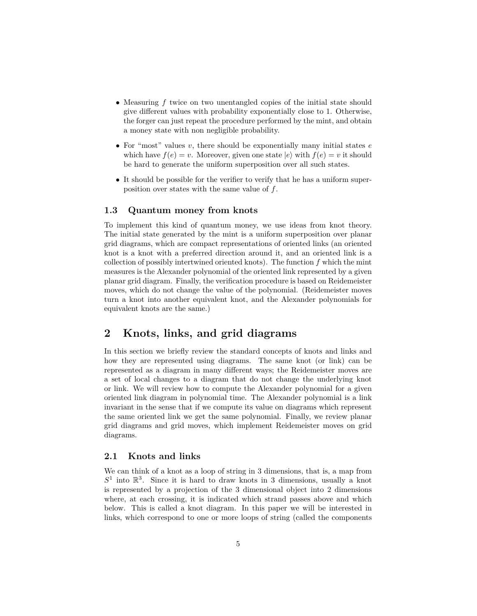- Measuring f twice on two unentangled copies of the initial state should give different values with probability exponentially close to 1. Otherwise, the forger can just repeat the procedure performed by the mint, and obtain a money state with non negligible probability.
- For "most" values *v*, there should be exponentially many initial states *e* which have  $f(e) = v$ . Moreover, given one state  $|e\rangle$  with  $f(e) = v$  it should be hard to generate the uniform superposition over all such states.
- It should be possible for the verifier to verify that he has a uniform superposition over states with the same value of *f*.

#### **1.3 Quantum money from knots**

To implement this kind of quantum money, we use ideas from knot theory. The initial state generated by the mint is a uniform superposition over planar grid diagrams, which are compact representations of oriented links (an oriented knot is a knot with a preferred direction around it, and an oriented link is a collection of possibly intertwined oriented knots). The function *f* which the mint measures is the Alexander polynomial of the oriented link represented by a given planar grid diagram. Finally, the verification procedure is based on Reidemeister moves, which do not change the value of the polynomial. (Reidemeister moves turn a knot into another equivalent knot, and the Alexander polynomials for equivalent knots are the same.)

## **2 Knots, links, and grid diagrams**

In this section we briefly review the standard concepts of knots and links and how they are represented using diagrams. The same knot (or link) can be represented as a diagram in many different ways; the Reidemeister moves are a set of local changes to a diagram that do not change the underlying knot or link. We will review how to compute the Alexander polynomial for a given oriented link diagram in polynomial time. The Alexander polynomial is a link invariant in the sense that if we compute its value on diagrams which represent the same oriented link we get the same polynomial. Finally, we review planar grid diagrams and grid moves, which implement Reidemeister moves on grid diagrams.

#### **2.1 Knots and links**

We can think of a knot as a loop of string in 3 dimensions, that is, a map from  $S<sup>1</sup>$  into  $\mathbb{R}^3$ . Since it is hard to draw knots in 3 dimensions, usually a knot is represented by a projection of the 3 dimensional object into 2 dimensions where, at each crossing, it is indicated which strand passes above and which below. This is called a knot diagram. In this paper we will be interested in links, which correspond to one or more loops of string (called the components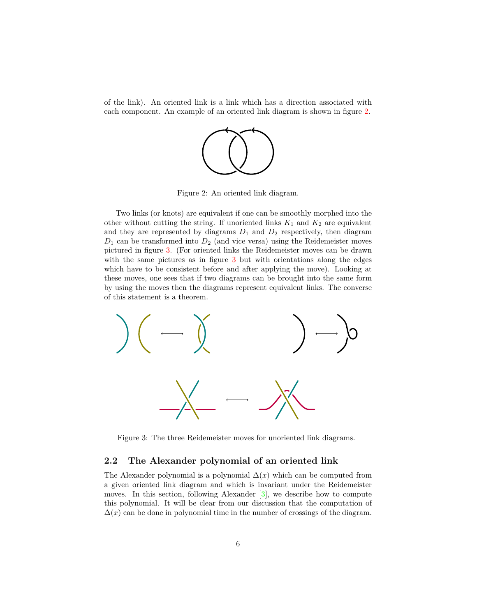of the link). An oriented link is a link which has a direction associated with each component. An example of an oriented link diagram is shown in figure [2.](#page-5-0)



<span id="page-5-0"></span>Figure 2: An oriented link diagram.

Two links (or knots) are equivalent if one can be smoothly morphed into the other without cutting the string. If unoriented links  $K_1$  and  $K_2$  are equivalent and they are represented by diagrams  $D_1$  and  $D_2$  respectively, then diagram  $D_1$  can be transformed into  $D_2$  (and vice versa) using the Reidemeister moves pictured in figure [3.](#page-5-1) (For oriented links the Reidemeister moves can be drawn with the same pictures as in figure [3](#page-5-1) but with orientations along the edges which have to be consistent before and after applying the move). Looking at these moves, one sees that if two diagrams can be brought into the same form by using the moves then the diagrams represent equivalent links. The converse of this statement is a theorem.



<span id="page-5-1"></span>Figure 3: The three Reidemeister moves for unoriented link diagrams.

#### **2.2 The Alexander polynomial of an oriented link**

The Alexander polynomial is a polynomial  $\Delta(x)$  which can be computed from a given oriented link diagram and which is invariant under the Reidemeister moves. In this section, following Alexander [\[3\]](#page-19-7), we describe how to compute this polynomial. It will be clear from our discussion that the computation of  $\Delta(x)$  can be done in polynomial time in the number of crossings of the diagram.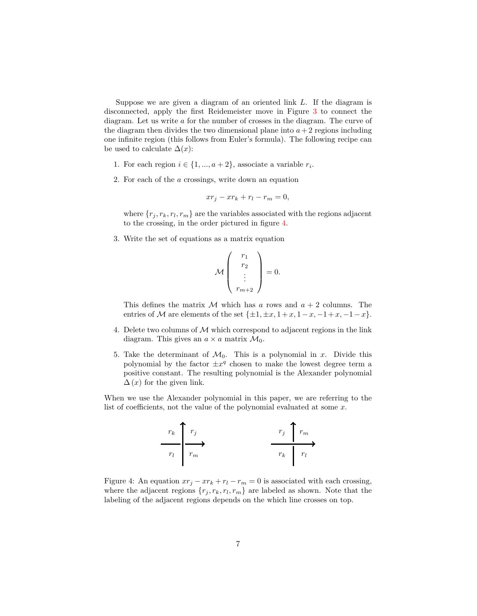Suppose we are given a diagram of an oriented link *L*. If the diagram is disconnected, apply the first Reidemeister move in Figure [3](#page-5-1) to connect the diagram. Let us write *a* for the number of crosses in the diagram. The curve of the diagram then divides the two dimensional plane into  $a + 2$  regions including one infinite region (this follows from Euler's formula). The following recipe can be used to calculate  $\Delta(x)$ :

- 1. For each region  $i \in \{1, ..., a+2\}$ , associate a variable  $r_i$ .
- 2. For each of the *a* crossings, write down an equation

$$
xr_j - xr_k + r_l - r_m = 0,
$$

where  $\{r_j, r_k, r_l, r_m\}$  are the variables associated with the regions adjacent to the crossing, in the order pictured in figure [4.](#page-6-0)

3. Write the set of equations as a matrix equation

$$
\mathcal{M}\left(\begin{array}{c}r_1\\r_2\\ \vdots\\r_{m+2}\end{array}\right)=0.
$$

This defines the matrix  $M$  which has a rows and  $a + 2$  columns. The entries of M are elements of the set  $\{\pm 1, \pm x, 1+x, 1-x, -1+x, -1-x\}$ .

- 4. Delete two columns of  $M$  which correspond to adjacent regions in the link diagram. This gives an  $a \times a$  matrix  $\mathcal{M}_0$ .
- 5. Take the determinant of  $\mathcal{M}_0$ . This is a polynomial in *x*. Divide this polynomial by the factor  $\pm x^q$  chosen to make the lowest degree term a positive constant. The resulting polynomial is the Alexander polynomial  $\Delta(x)$  for the given link.

When we use the Alexander polynomial in this paper, we are referring to the list of coefficients, not the value of the polynomial evaluated at some *x*.



<span id="page-6-0"></span>Figure 4: An equation  $xr_j - xr_k + r_l - r_m = 0$  is associated with each crossing, where the adjacent regions  $\{r_j, r_k, r_l, r_m\}$  are labeled as shown. Note that the labeling of the adjacent regions depends on the which line crosses on top.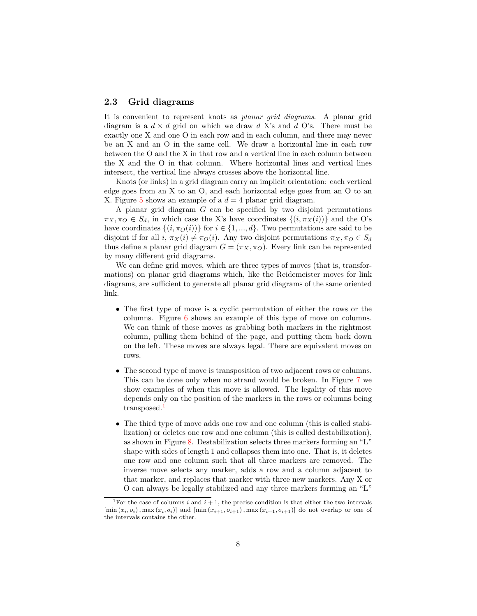### <span id="page-7-1"></span>**2.3 Grid diagrams**

It is convenient to represent knots as *planar grid diagrams*. A planar grid diagram is a  $d \times d$  grid on which we draw d X's and d O's. There must be exactly one X and one O in each row and in each column, and there may never be an X and an O in the same cell. We draw a horizontal line in each row between the O and the X in that row and a vertical line in each column between the X and the O in that column. Where horizontal lines and vertical lines intersect, the vertical line always crosses above the horizontal line.

Knots (or links) in a grid diagram carry an implicit orientation: each vertical edge goes from an X to an O, and each horizontal edge goes from an O to an X. Figure [5](#page-8-0) shows an example of a  $d = 4$  planar grid diagram.

A planar grid diagram *G* can be specified by two disjoint permutations  $\pi_X, \pi_O \in S_d$ , in which case the X's have coordinates  $\{(i, \pi_X(i))\}$  and the O's have coordinates  $\{(i, \pi_O(i))\}$  for  $i \in \{1, ..., d\}$ . Two permutations are said to be disjoint if for all  $i, \pi_X(i) \neq \pi_O(i)$ . Any two disjoint permutations  $\pi_X, \pi_O \in S_d$ thus define a planar grid diagram  $G = (\pi_X, \pi_O)$ . Every link can be represented by many different grid diagrams.

We can define grid moves, which are three types of moves (that is, transformations) on planar grid diagrams which, like the Reidemeister moves for link diagrams, are sufficient to generate all planar grid diagrams of the same oriented link.

- The first type of move is a cyclic permutation of either the rows or the columns. Figure [6](#page-8-1) shows an example of this type of move on columns. We can think of these moves as grabbing both markers in the rightmost column, pulling them behind of the page, and putting them back down on the left. These moves are always legal. There are equivalent moves on rows.
- The second type of move is transposition of two adjacent rows or columns. This can be done only when no strand would be broken. In Figure [7](#page-9-0) we show examples of when this move is allowed. The legality of this move depends only on the position of the markers in the rows or columns being transposed.<sup>[1](#page-7-0)</sup>
- The third type of move adds one row and one column (this is called stabilization) or deletes one row and one column (this is called destabilization), as shown in Figure [8.](#page-10-0) Destabilization selects three markers forming an "L" shape with sides of length 1 and collapses them into one. That is, it deletes one row and one column such that all three markers are removed. The inverse move selects any marker, adds a row and a column adjacent to that marker, and replaces that marker with three new markers. Any X or O can always be legally stabilized and any three markers forming an "L"

<span id="page-7-0"></span><sup>&</sup>lt;sup>1</sup>For the case of columns *i* and  $i + 1$ , the precise condition is that either the two intervals  $[\min(x_i, o_i), \max(x_i, o_i)]$  and  $[\min(x_{i+1}, o_{i+1}), \max(x_{i+1}, o_{i+1})]$  do not overlap or one of the intervals contains the other.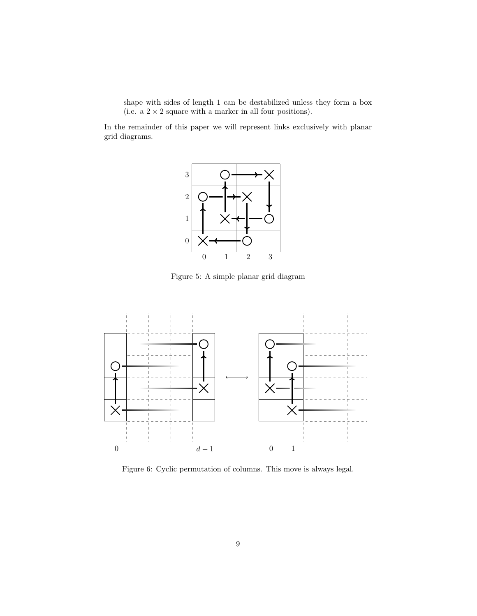shape with sides of length 1 can be destabilized unless they form a box (i.e. a  $2 \times 2$  square with a marker in all four positions).

In the remainder of this paper we will represent links exclusively with planar grid diagrams.



<span id="page-8-0"></span>Figure 5: A simple planar grid diagram



<span id="page-8-1"></span>Figure 6: Cyclic permutation of columns. This move is always legal.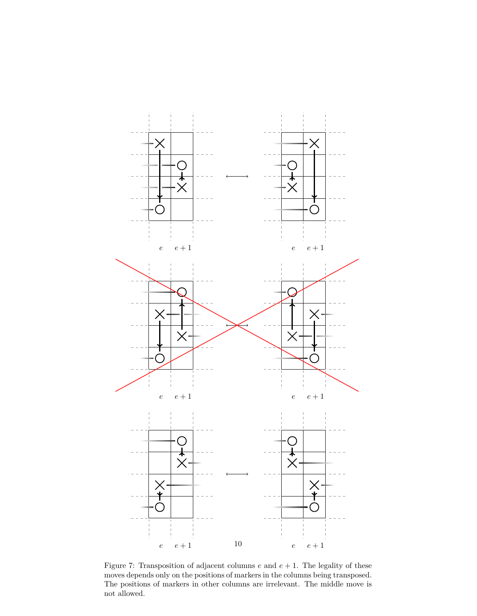

<span id="page-9-0"></span>Figure 7: Transposition of adjacent columns  $e$  and  $e + 1$ . The legality of these moves depends only on the positions of markers in the columns being transposed. The positions of markers in other columns are irrelevant. The middle move is not allowed.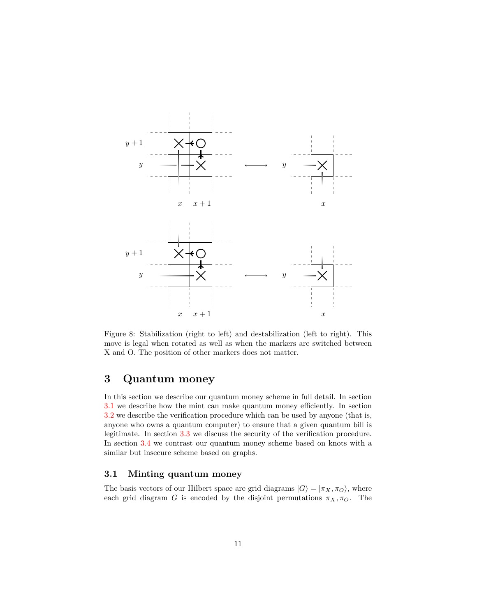

<span id="page-10-0"></span>Figure 8: Stabilization (right to left) and destabilization (left to right). This move is legal when rotated as well as when the markers are switched between X and O. The position of other markers does not matter.

## **3 Quantum money**

In this section we describe our quantum money scheme in full detail. In section [3.1](#page-10-1) we describe how the mint can make quantum money efficiently. In section [3.2](#page-12-0) we describe the verification procedure which can be used by anyone (that is, anyone who owns a quantum computer) to ensure that a given quantum bill is legitimate. In section [3.3](#page-16-0) we discuss the security of the verification procedure. In section [3.4](#page-17-0) we contrast our quantum money scheme based on knots with a similar but insecure scheme based on graphs.

### <span id="page-10-1"></span>**3.1 Minting quantum money**

The basis vectors of our Hilbert space are grid diagrams  $|G\rangle = |\pi_X, \pi_O\rangle$ , where each grid diagram *G* is encoded by the disjoint permutations  $\pi_X, \pi_O$ . The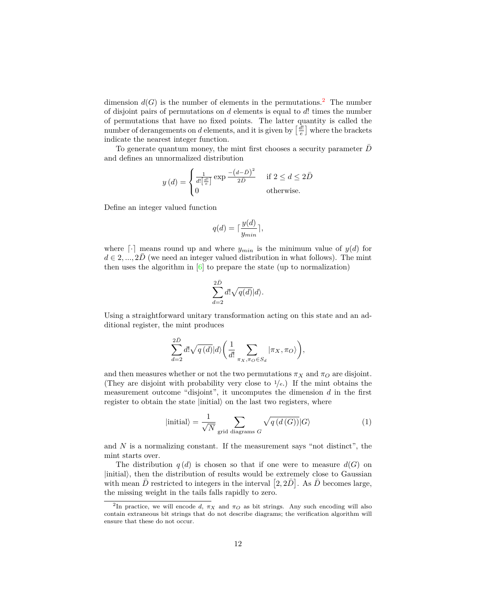dimension  $d(G)$  is the number of elements in the permutations.<sup>[2](#page-11-0)</sup> The number of disjoint pairs of permutations on *d* elements is equal to *d*! times the number of permutations that have no fixed points. The latter quantity is called the number of derangements on *d* elements, and it is given by  $\left[\frac{d!}{e}\right]$  where the brackets indicate the nearest integer function.

To generate quantum money, the mint first chooses a security parameter  $\overline{D}$ and defines an unnormalized distribution

$$
y(d) = \begin{cases} \frac{1}{d! \left[\frac{d!}{e}\right]} \exp \frac{-\left(d-\bar{D}\right)^2}{2\bar{D}} & \text{if } 2 \le d \le 2\bar{D} \\ 0 & \text{otherwise.} \end{cases}
$$

Define an integer valued function

$$
q(d) = \lceil \frac{y(d)}{y_{min}} \rceil,
$$

where  $\lceil \cdot \rceil$  means round up and where  $y_{min}$  is the minimum value of  $y(d)$  for  $d \in 2, ..., 2\overline{D}$  (we need an integer valued distribution in what follows). The mint then uses the algorithm in [\[6\]](#page-19-8) to prepare the state (up to normalization)

$$
\sum_{d=2}^{2\bar D} d! \sqrt{q(d)} |d\rangle.
$$

Using a straightforward unitary transformation acting on this state and an additional register, the mint produces

$$
\sum_{d=2}^{2\bar{D}}d!\sqrt{q\left(d\right)}|d\rangle\bigg(\frac{1}{d!}\sum_{\pi_{X},\pi_{O}\in S_{d}}|\pi_{X},\pi_{O}\rangle\bigg),
$$

and then measures whether or not the two permutations  $\pi_X$  and  $\pi_O$  are disjoint. (They are disjoint with probability very close to <sup>1</sup>*/e*.) If the mint obtains the measurement outcome "disjoint", it uncomputes the dimension *d* in the first register to obtain the state  $|initial\rangle$  on the last two registers, where

$$
|\text{initial}\rangle = \frac{1}{\sqrt{N}} \sum_{\text{grid diagrams } G} \sqrt{q(d(G))} |G\rangle \tag{1}
$$

and *N* is a normalizing constant. If the measurement says "not distinct", the mint starts over.

The distribution  $q(d)$  is chosen so that if one were to measure  $d(G)$  on  $|\text{initial}\rangle$ , then the distribution of results would be extremely close to Gaussian with mean  $\bar{D}$  restricted to integers in the interval  $[2, 2\bar{D}]$ . As  $\bar{D}$  becomes large, the missing weight in the tails falls rapidly to zero.

<span id="page-11-0"></span><sup>&</sup>lt;sup>2</sup>In practice, we will encode *d*,  $\pi_X$  and  $\pi_O$  as bit strings. Any such encoding will also contain extraneous bit strings that do not describe diagrams; the verification algorithm will ensure that these do not occur.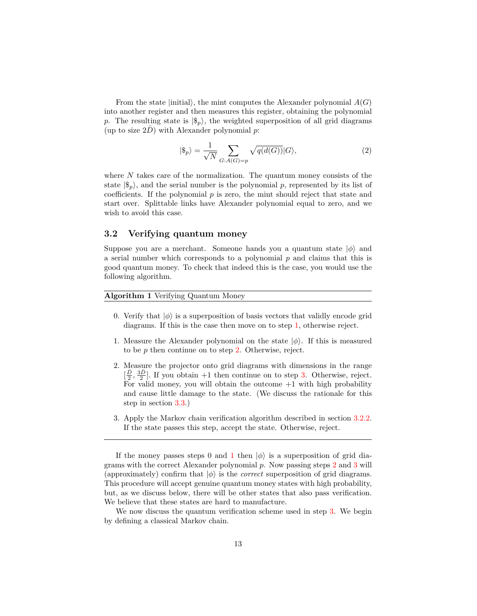From the state  $|initial\rangle$ , the mint computes the Alexander polynomial  $A(G)$ into another register and then measures this register, obtaining the polynomial p. The resulting state is  $|\$_{p}\rangle$ , the weighted superposition of all grid diagrams (up to size  $2D$ ) with Alexander polynomial  $p$ :

<span id="page-12-4"></span>
$$
|\$_{p}\rangle = \frac{1}{\sqrt{N}} \sum_{G:A(G)=p} \sqrt{q(d(G))} |G\rangle, \tag{2}
$$

where *N* takes care of the normalization. The quantum money consists of the state  $|\$_{n}\rangle$ , and the serial number is the polynomial p, represented by its list of coefficients. If the polynomial  $p$  is zero, the mint should reject that state and start over. Splittable links have Alexander polynomial equal to zero, and we wish to avoid this case.

#### <span id="page-12-0"></span>**3.2 Verifying quantum money**

Suppose you are a merchant. Someone hands you a quantum state  $|\phi\rangle$  and a serial number which corresponds to a polynomial *p* and claims that this is good quantum money. To check that indeed this is the case, you would use the following algorithm.

#### **Algorithm 1** Verifying Quantum Money

- 0. Verify that  $|\phi\rangle$  is a superposition of basis vectors that validly encode grid diagrams. If this is the case then move on to step [1,](#page-12-1) otherwise reject.
- <span id="page-12-1"></span>1. Measure the Alexander polynomial on the state  $|\phi\rangle$ . If this is measured to be *p* then continue on to step [2.](#page-12-2) Otherwise, reject.
- <span id="page-12-2"></span>2. Measure the projector onto grid diagrams with dimensions in the range  $[\frac{\bar{D}}{2}, \frac{3\bar{D}}{2}]$ . If you obtain +1 then continue on to step [3.](#page-12-3) Otherwise, reject. For valid money, you will obtain the outcome  $+1$  with high probability and cause little damage to the state. (We discuss the rationale for this step in section [3.3.](#page-16-0))
- <span id="page-12-3"></span>3. Apply the Markov chain verification algorithm described in section [3.2.2.](#page-13-0) If the state passes this step, accept the state. Otherwise, reject.

We now discuss the quantum verification scheme used in step [3.](#page-12-3) We begin by defining a classical Markov chain.

If the money passes steps 0 and [1](#page-12-1) then  $|\phi\rangle$  is a superposition of grid diagrams with the correct Alexander polynomial *p*. Now passing steps [2](#page-12-2) and [3](#page-12-3) will (approximately) confirm that  $|\phi\rangle$  is the *correct* superposition of grid diagrams. This procedure will accept genuine quantum money states with high probability, but, as we discuss below, there will be other states that also pass verification. We believe that these states are hard to manufacture.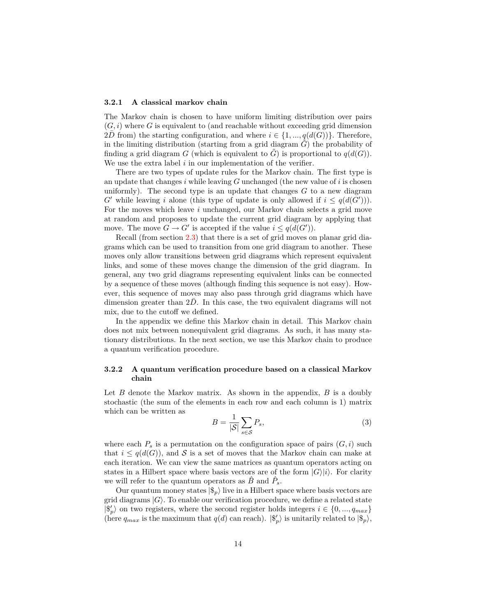#### <span id="page-13-1"></span>**3.2.1 A classical markov chain**

The Markov chain is chosen to have uniform limiting distribution over pairs  $(G, i)$  where  $G$  is equivalent to (and reachable without exceeding grid dimension 2*D* from) the starting configuration, and where  $i \in \{1, ..., q(d(G))\}$ . Therefore, in the limiting distribution (starting from a grid diagram  $G$ ) the probability of finding a grid diagram *G* (which is equivalent to *G*) is proportional to  $q(d(G))$ . We use the extra label *i* in our implementation of the verifier.

There are two types of update rules for the Markov chain. The first type is an update that changes *i* while leaving *G* unchanged (the new value of *i* is chosen uniformly). The second type is an update that changes *G* to a new diagram *G*<sup> $\prime$ </sup> while leaving *i* alone (this type of update is only allowed if  $i \leq q(d(G'))$ ). For the moves which leave *i* unchanged, our Markov chain selects a grid move at random and proposes to update the current grid diagram by applying that move. The move  $G \to G'$  is accepted if the value  $i \leq q(d(G'))$ .

Recall (from section [2.3\)](#page-7-1) that there is a set of grid moves on planar grid diagrams which can be used to transition from one grid diagram to another. These moves only allow transitions between grid diagrams which represent equivalent links, and some of these moves change the dimension of the grid diagram. In general, any two grid diagrams representing equivalent links can be connected by a sequence of these moves (although finding this sequence is not easy). However, this sequence of moves may also pass through grid diagrams which have dimension greater than  $2D$ . In this case, the two equivalent diagrams will not mix, due to the cutoff we defined.

In the appendix we define this Markov chain in detail. This Markov chain does not mix between nonequivalent grid diagrams. As such, it has many stationary distributions. In the next section, we use this Markov chain to produce a quantum verification procedure.

#### <span id="page-13-0"></span>**3.2.2 A quantum verification procedure based on a classical Markov chain**

Let *B* denote the Markov matrix. As shown in the appendix, *B* is a doubly stochastic (the sum of the elements in each row and each column is 1) matrix which can be written as

<span id="page-13-2"></span>
$$
B = \frac{1}{|\mathcal{S}|} \sum_{s \in \mathcal{S}} P_s,\tag{3}
$$

where each  $P_s$  is a permutation on the configuration space of pairs  $(G, i)$  such that  $i \leq q(d(G))$ , and S is a set of moves that the Markov chain can make at each iteration. We can view the same matrices as quantum operators acting on states in a Hilbert space where basis vectors are of the form  $|G\rangle|i\rangle$ . For clarity we will refer to the quantum operators as  $\hat{B}$  and  $\hat{P}_s$ .

Our quantum money states  $|\$_{p}\rangle$  live in a Hilbert space where basis vectors are grid diagrams  $|G\rangle$ . To enable our verification procedure, we define a related state  $|\$_{p}^{\prime}\rangle$  on two registers, where the second register holds integers  $i \in \{0, ..., q_{max}\}\$ (here  $q_{max}$  is the maximum that  $q(d)$  can reach).  $|\$_{p}^{b}\rangle$  is unitarily related to  $|\$_{p}\rangle$ ,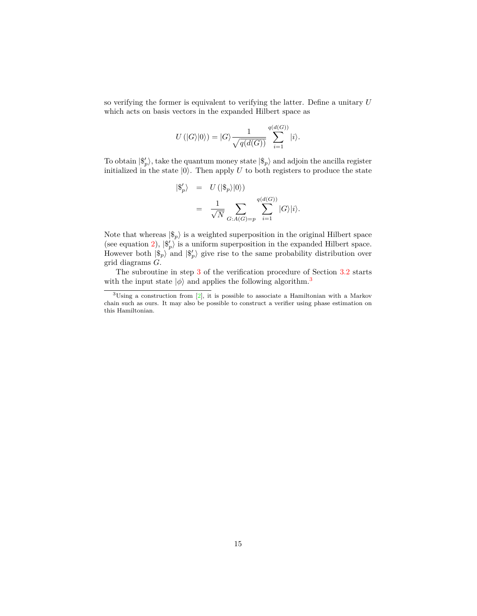so verifying the former is equivalent to verifying the latter. Define a unitary *U* which acts on basis vectors in the expanded Hilbert space as

$$
U(|G\rangle|0\rangle) = |G\rangle \frac{1}{\sqrt{q(d(G))}} \sum_{i=1}^{q(d(G))} |i\rangle.
$$

To obtain  $|\$_{p}^{\prime}\rangle$ , take the quantum money state  $|\$_{p}\rangle$  and adjoin the ancilla register initialized in the state  $|0\rangle$ . Then apply *U* to both registers to produce the state

$$
\begin{array}{rcl} |\$_{p}^{\prime}\rangle &=& U\left(|\$_{p}\rangle|0\rangle\right) \\ &=& \frac{1}{\sqrt{N}} \sum_{G:A(G)=p} \sum_{i=1}^{q(d(G))} |G\rangle|i\rangle. \end{array}
$$

Note that whereas  $|\$_{p}\rangle$  is a weighted superposition in the original Hilbert space (see equation [2\)](#page-12-4),  $|\$\}'_p\rangle$  is a uniform superposition in the expanded Hilbert space. However both  $|\$_{p}\rangle$  and  $|\$_{p}\rangle$  give rise to the same probability distribution over grid diagrams *G*.

The subroutine in step [3](#page-12-3) of the verification procedure of Section [3.2](#page-12-0) starts with the input state  $|\phi\rangle$  and applies the following algorithm.<sup>[3](#page-14-0)</sup>

<span id="page-14-0"></span><sup>3</sup>Using a construction from [\[2\]](#page-19-9), it is possible to associate a Hamiltonian with a Markov chain such as ours. It may also be possible to construct a verifier using phase estimation on this Hamiltonian.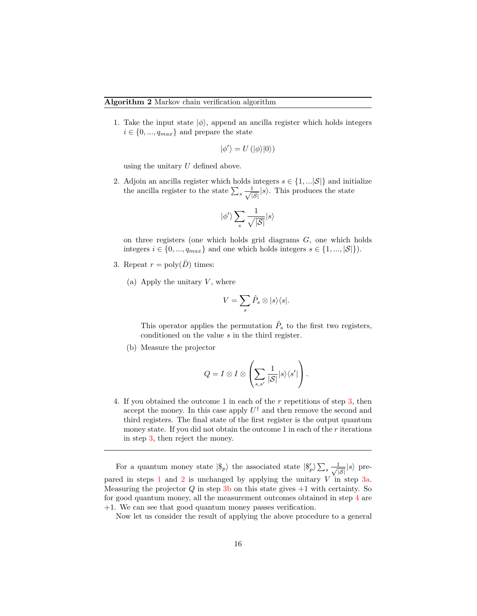<span id="page-15-1"></span>1. Take the input state  $|\phi\rangle$ , append an ancilla register which holds integers  $i \in \{0, ..., q_{max}\}\$ and prepare the state

$$
|\phi'\rangle = U(|\phi\rangle|0\rangle)
$$

using the unitary *U* defined above.

<span id="page-15-2"></span>2. Adjoin an ancilla register which holds integers  $s \in \{1, \ldots |S|\}$  and initialize the ancilla register to the state  $\sum_{s} \frac{1}{\sqrt{s}}$  $\frac{1}{|S|}|s\rangle$ . This produces the state

$$
|\phi ^{\prime }\rangle \sum _{s}\frac{1}{\sqrt{\left\vert S\right\vert }}|s\rangle
$$

on three registers (one which holds grid diagrams *G*, one which holds integers  $i \in \{0, ..., q_{max}\}\$ and one which holds integers  $s \in \{1, ..., |\mathcal{S}|\}\)$ .

- <span id="page-15-3"></span><span id="page-15-0"></span>3. Repeat  $r = \text{poly}(\overline{D})$  times:
	- (a) Apply the unitary  $V$ , where

$$
V = \sum_{s} \hat{P}_s \otimes |s\rangle\langle s|.
$$

This operator applies the permutation  $\hat{P}_s$  to the first two registers, conditioned on the value *s* in the third register.

<span id="page-15-4"></span>(b) Measure the projector

$$
Q = I \otimes I \otimes \left( \sum_{s,s'} \frac{1}{|\mathcal{S}|} |s\rangle\langle s'| \right).
$$

<span id="page-15-5"></span>4. If you obtained the outcome 1 in each of the *r* repetitions of step [3,](#page-15-0) then accept the money. In this case apply  $U^{\dagger}$  and then remove the second and third registers. The final state of the first register is the output quantum money state. If you did not obtain the outcome 1 in each of the *r* iterations in step [3,](#page-15-0) then reject the money.

For a quantum money state  $|\$_{p}\rangle$  the associated state  $|\$_{p}\rangle \sum_{s} \frac{1}{\sqrt{n}}$  $\frac{1}{|S|}|s\rangle$  prepared in steps [1](#page-15-1) and [2](#page-15-2) is unchanged by applying the unitary *V* in step [3a.](#page-15-3) Measuring the projector *Q* in step [3b](#page-15-4) on this state gives +1 with certainty. So for good quantum money, all the measurement outcomes obtained in step [4](#page-15-5) are +1. We can see that good quantum money passes verification.

Now let us consider the result of applying the above procedure to a general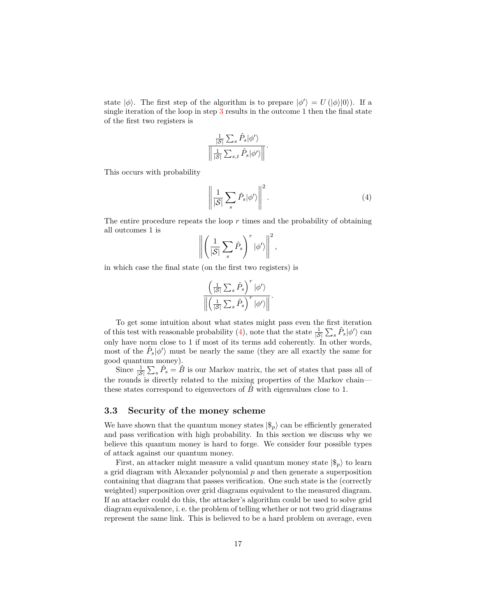state  $|\phi\rangle$ . The first step of the algorithm is to prepare  $|\phi'\rangle = U(|\phi\rangle|0\rangle)$ . If a single iteration of the loop in step [3](#page-15-0) results in the outcome 1 then the final state of the first two registers is

$$
\frac{\frac{1}{|\mathcal{S}|}\sum_{s}\hat{P}_{s}|\phi^{\prime}\rangle}{\left\Vert \frac{1}{|\mathcal{S}|}\sum_{s,t}\hat{P}_{s}|\phi^{\prime}\rangle\right\Vert}.
$$

This occurs with probability

<span id="page-16-1"></span>
$$
\left\| \frac{1}{|\mathcal{S}|} \sum_{s} \hat{P}_s | \phi' \rangle \right\|^2.
$$
 (4)

The entire procedure repeats the loop *r* times and the probability of obtaining all outcomes 1 is

$$
\left\| \left( \frac{1}{|\mathcal{S}|} \sum_{s} \hat{P}_{s} \right)^{r} | \phi' \rangle \right\|^{2},
$$

in which case the final state (on the first two registers) is

$$
\frac{\left(\frac{1}{\left|\mathcal{S}\right|}\sum_{s}\hat{P}_{s}\right)^{r}|\phi^{\prime}\rangle}{\left\|\left(\frac{1}{\left|\mathcal{S}\right|}\sum_{s}\hat{P}_{s}\right)^{r}|\phi^{\prime}\rangle\right\|}.
$$

To get some intuition about what states might pass even the first iteration of this test with reasonable probability [\(4\)](#page-16-1), note that the state  $\frac{1}{|S|} \sum_{s} \hat{P}_s |\phi'\rangle$  can only have norm close to 1 if most of its terms add coherently. In other words, most of the  $\hat{P}_s|\phi\rangle$  must be nearly the same (they are all exactly the same for good quantum money).

Since  $\frac{1}{|S|}\sum_{s} \hat{P}_{s} = \hat{B}$  is our Markov matrix, the set of states that pass all of the rounds is directly related to the mixing properties of the Markov chain these states correspond to eigenvectors of  $\ddot{B}$  with eigenvalues close to 1.

### <span id="page-16-0"></span>**3.3 Security of the money scheme**

We have shown that the quantum money states  $|\$_{p}\rangle$  can be efficiently generated and pass verification with high probability. In this section we discuss why we believe this quantum money is hard to forge. We consider four possible types of attack against our quantum money.

First, an attacker might measure a valid quantum money state  $|\$_{n}\rangle$  to learn a grid diagram with Alexander polynomial *p* and then generate a superposition containing that diagram that passes verification. One such state is the (correctly weighted) superposition over grid diagrams equivalent to the measured diagram. If an attacker could do this, the attacker's algorithm could be used to solve grid diagram equivalence, i. e. the problem of telling whether or not two grid diagrams represent the same link. This is believed to be a hard problem on average, even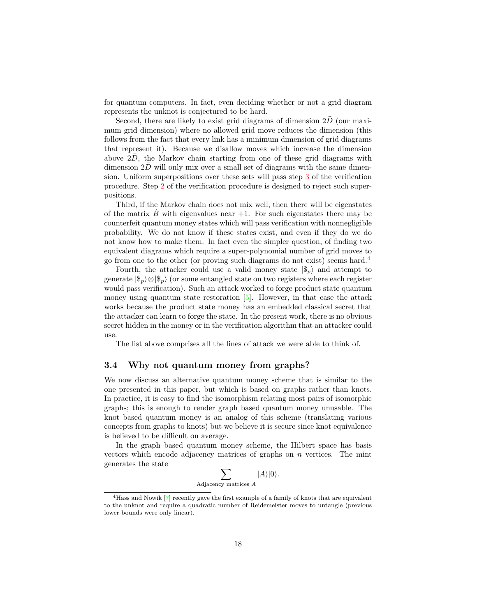for quantum computers. In fact, even deciding whether or not a grid diagram represents the unknot is conjectured to be hard.

Second, there are likely to exist grid diagrams of dimension 2D (our maximum grid dimension) where no allowed grid move reduces the dimension (this follows from the fact that every link has a minimum dimension of grid diagrams that represent it). Because we disallow moves which increase the dimension above  $2\bar{D}$ , the Markov chain starting from one of these grid diagrams with dimension  $2\bar{D}$  will only mix over a small set of diagrams with the same dimension. Uniform superpositions over these sets will pass step [3](#page-12-3) of the verification procedure. Step [2](#page-12-2) of the verification procedure is designed to reject such superpositions.

Third, if the Markov chain does not mix well, then there will be eigenstates of the matrix  $\ddot{B}$  with eigenvalues near  $+1$ . For such eigenstates there may be counterfeit quantum money states which will pass verification with nonnegligible probability. We do not know if these states exist, and even if they do we do not know how to make them. In fact even the simpler question, of finding two equivalent diagrams which require a super-polynomial number of grid moves to go from one to the other (or proving such diagrams do not exist) seems hard.[4](#page-17-1)

Fourth, the attacker could use a valid money state  $|\$_{p}\rangle$  and attempt to generate  $|\$_n\rangle \otimes |\$_n\rangle$  (or some entangled state on two registers where each register would pass verification). Such an attack worked to forge product state quantum money using quantum state restoration  $[5]$ . However, in that case the attack works because the product state money has an embedded classical secret that the attacker can learn to forge the state. In the present work, there is no obvious secret hidden in the money or in the verification algorithm that an attacker could use.

The list above comprises all the lines of attack we were able to think of.

### <span id="page-17-0"></span>**3.4 Why not quantum money from graphs?**

We now discuss an alternative quantum money scheme that is similar to the one presented in this paper, but which is based on graphs rather than knots. In practice, it is easy to find the isomorphism relating most pairs of isomorphic graphs; this is enough to render graph based quantum money unusable. The knot based quantum money is an analog of this scheme (translating various concepts from graphs to knots) but we believe it is secure since knot equivalence is believed to be difficult on average.

In the graph based quantum money scheme, the Hilbert space has basis vectors which encode adjacency matrices of graphs on *n* vertices. The mint generates the state

$$
\sum_{\text{Adjacency matrices } A} |A\rangle |0\rangle.
$$

<span id="page-17-1"></span><sup>&</sup>lt;sup>4</sup>Hass and Nowik [\[7\]](#page-19-10) recently gave the first example of a family of knots that are equivalent to the unknot and require a quadratic number of Reidemeister moves to untangle (previous lower bounds were only linear).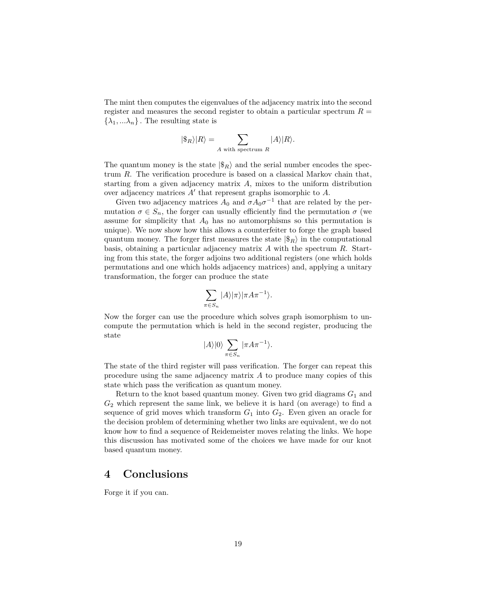The mint then computes the eigenvalues of the adjacency matrix into the second register and measures the second register to obtain a particular spectrum *R* =  $\{\lambda_1, \ldots, \lambda_n\}$ . The resulting state is

$$
|\$_{R}\rangle|R\rangle = \sum_{A \text{ with spectrum } R} |A\rangle|R\rangle.
$$

The quantum money is the state  $|\$_{R}\rangle$  and the serial number encodes the spectrum *R*. The verification procedure is based on a classical Markov chain that, starting from a given adjacency matrix *A*, mixes to the uniform distribution over adjacency matrices  $A'$  that represent graphs isomorphic to  $A$ .

Given two adjacency matrices  $A_0$  and  $\sigma A_0 \sigma^{-1}$  that are related by the permutation  $\sigma \in S_n$ , the forger can usually efficiently find the permutation  $\sigma$  (we assume for simplicity that  $A_0$  has no automorphisms so this permutation is unique). We now show how this allows a counterfeiter to forge the graph based quantum money. The forger first measures the state  $|\$_{R}\rangle$  in the computational basis, obtaining a particular adjacency matrix *A* with the spectrum *R*. Starting from this state, the forger adjoins two additional registers (one which holds permutations and one which holds adjacency matrices) and, applying a unitary transformation, the forger can produce the state

$$
\sum_{\pi \in S_n} |A\rangle |\pi\rangle |\pi A\pi^{-1}\rangle.
$$

Now the forger can use the procedure which solves graph isomorphism to uncompute the permutation which is held in the second register, producing the state

$$
|A\rangle|0\rangle\sum_{\pi\in S_n}|\pi A\pi^{-1}\rangle.
$$

The state of the third register will pass verification. The forger can repeat this procedure using the same adjacency matrix *A* to produce many copies of this state which pass the verification as quantum money.

Return to the knot based quantum money. Given two grid diagrams *G*<sup>1</sup> and *G*<sup>2</sup> which represent the same link, we believe it is hard (on average) to find a sequence of grid moves which transform  $G_1$  into  $G_2$ . Even given an oracle for the decision problem of determining whether two links are equivalent, we do not know how to find a sequence of Reidemeister moves relating the links. We hope this discussion has motivated some of the choices we have made for our knot based quantum money.

### **4 Conclusions**

Forge it if you can.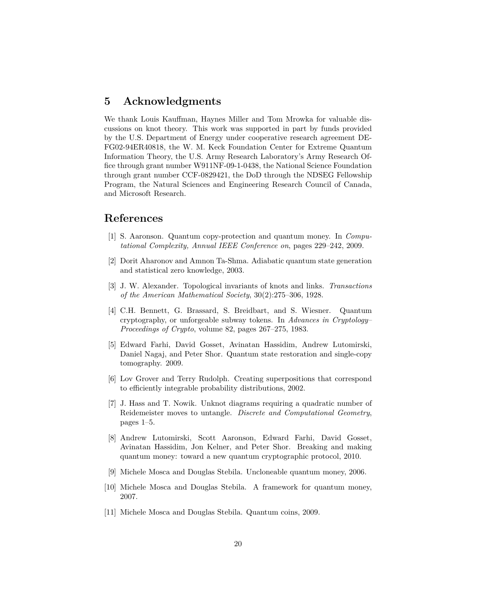### **5 Acknowledgments**

We thank Louis Kauffman, Haynes Miller and Tom Mrowka for valuable discussions on knot theory. This work was supported in part by funds provided by the U.S. Department of Energy under cooperative research agreement DE-FG02-94ER40818, the W. M. Keck Foundation Center for Extreme Quantum Information Theory, the U.S. Army Research Laboratory's Army Research Office through grant number W911NF-09-1-0438, the National Science Foundation through grant number CCF-0829421, the DoD through the NDSEG Fellowship Program, the Natural Sciences and Engineering Research Council of Canada, and Microsoft Research.

### **References**

- <span id="page-19-1"></span>[1] S. Aaronson. Quantum copy-protection and quantum money. In *Computational Complexity, Annual IEEE Conference on*, pages 229–242, 2009.
- <span id="page-19-9"></span>[2] Dorit Aharonov and Amnon Ta-Shma. Adiabatic quantum state generation and statistical zero knowledge, 2003.
- <span id="page-19-7"></span>[3] J. W. Alexander. Topological invariants of knots and links. *Transactions of the American Mathematical Society*, 30(2):275–306, 1928.
- <span id="page-19-0"></span>[4] C.H. Bennett, G. Brassard, S. Breidbart, and S. Wiesner. Quantum cryptography, or unforgeable subway tokens. In *Advances in Cryptology– Proceedings of Crypto*, volume 82, pages 267–275, 1983.
- <span id="page-19-6"></span>[5] Edward Farhi, David Gosset, Avinatan Hassidim, Andrew Lutomirski, Daniel Nagaj, and Peter Shor. Quantum state restoration and single-copy tomography. 2009.
- <span id="page-19-8"></span>[6] Lov Grover and Terry Rudolph. Creating superpositions that correspond to efficiently integrable probability distributions, 2002.
- <span id="page-19-10"></span>[7] J. Hass and T. Nowik. Unknot diagrams requiring a quadratic number of Reidemeister moves to untangle. *Discrete and Computational Geometry*, pages 1–5.
- <span id="page-19-2"></span>[8] Andrew Lutomirski, Scott Aaronson, Edward Farhi, David Gosset, Avinatan Hassidim, Jon Kelner, and Peter Shor. Breaking and making quantum money: toward a new quantum cryptographic protocol, 2010.
- <span id="page-19-4"></span>[9] Michele Mosca and Douglas Stebila. Uncloneable quantum money, 2006.
- <span id="page-19-5"></span>[10] Michele Mosca and Douglas Stebila. A framework for quantum money, 2007.
- <span id="page-19-3"></span>[11] Michele Mosca and Douglas Stebila. Quantum coins, 2009.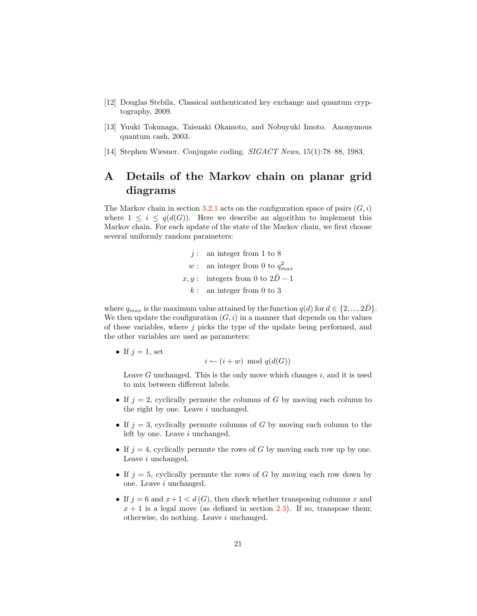- <span id="page-20-1"></span>[12] Douglas Stebila. Classical authenticated key exchange and quantum cryptography, 2009.
- <span id="page-20-2"></span>[13] Yuuki Tokunaga, Taisuaki Okamoto, and Nobuyuki Imoto. Anonymous quantum cash, 2003.
- <span id="page-20-0"></span>[14] Stephen Wiesner. Conjugate coding. *SIGACT News*, 15(1):78–88, 1983.

# **A Details of the Markov chain on planar grid diagrams**

The Markov chain in section  $3.2.1$  acts on the configuration space of pairs  $(G, i)$ where  $1 \leq i \leq q(d(G))$ . Here we describe an algorithm to implement this Markov chain. For each update of the state of the Markov chain, we first choose several uniformly random parameters:

> *j* : an integer from 1 to 8 *w* : an integer from 0 to  $q_{max}^2$  $x, y:$  integers from 0 to  $2\bar{D}-1$ *k* : an integer from 0 to 3

where  $q_{max}$  is the maximum value attained by the function  $q(d)$  for  $d \in \{2, ..., 2\overline{D}\}\.$ We then update the configuration  $(G, i)$  in a manner that depends on the values of these variables, where *j* picks the type of the update being performed, and the other variables are used as parameters:

• If  $j = 1$ , set

$$
i \leftarrow (i+w) \mod q(d(G))
$$

Leave *G* unchanged. This is the only move which changes *i*, and it is used to mix between different labels.

- If  $j = 2$ , cyclically permute the columns of *G* by moving each column to the right by one. Leave *i* unchanged.
- If  $j = 3$ , cyclically permute columns of *G* by moving each column to the left by one. Leave *i* unchanged.
- If  $j = 4$ , cyclically permute the rows of *G* by moving each row up by one. Leave *i* unchanged.
- If  $j = 5$ , cyclically permute the rows of *G* by moving each row down by one. Leave *i* unchanged.
- If  $j = 6$  and  $x + 1 < d(G)$ , then check whether transposing columns x and  $x + 1$  is a legal move (as defined in section [2.3\)](#page-7-1). If so, transpose them; otherwise, do nothing. Leave *i* unchanged.